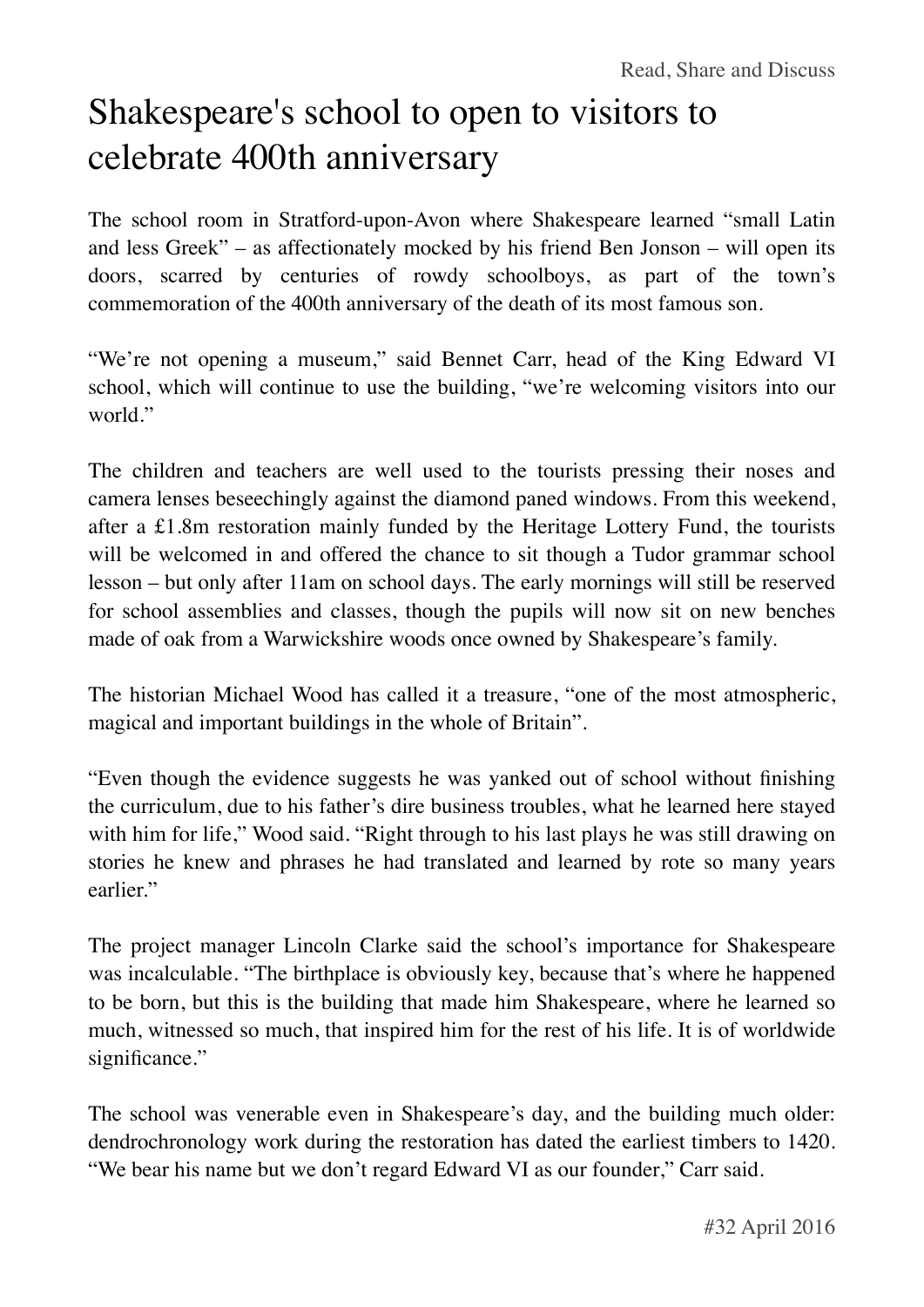## Shakespeare's school to open to visitors to celebrate 400th anniversary

The school room in Stratford-upon-Avon where Shakespeare learned "small Latin and less Greek" – as affectionately mocked by his friend Ben Jonson – will open its doors, scarred by centuries of rowdy schoolboys, as part of the town's commemoration of the 400th anniversary of the death of its most famous son.

"We're not opening a museum," said Bennet Carr, head of the King Edward VI school, which will continue to use the building, "we're welcoming visitors into our world."

The children and teachers are well used to the tourists pressing their noses and camera lenses beseechingly against the diamond paned windows. From this weekend, after a £1.8m restoration mainly funded by the Heritage Lottery Fund, the tourists will be welcomed in and offered the chance to sit though a Tudor grammar school lesson – but only after 11am on school days. The early mornings will still be reserved for school assemblies and classes, though the pupils will now sit on new benches made of oak from a Warwickshire woods once owned by Shakespeare's family.

The historian Michael Wood has called it a treasure, "one of the most atmospheric, magical and important buildings in the whole of Britain".

"Even though the evidence suggests he was yanked out of school without finishing the curriculum, due to his father's dire business troubles, what he learned here stayed with him for life," Wood said. "Right through to his last plays he was still drawing on stories he knew and phrases he had translated and learned by rote so many years earlier."

The project manager Lincoln Clarke said the school's importance for Shakespeare was incalculable. "The birthplace is obviously key, because that's where he happened to be born, but this is the building that made him Shakespeare, where he learned so much, witnessed so much, that inspired him for the rest of his life. It is of worldwide significance."

The school was venerable even in Shakespeare's day, and the building much older: dendrochronology work during the restoration has dated the earliest timbers to 1420. "We bear his name but we don't regard Edward VI as our founder," Carr said.